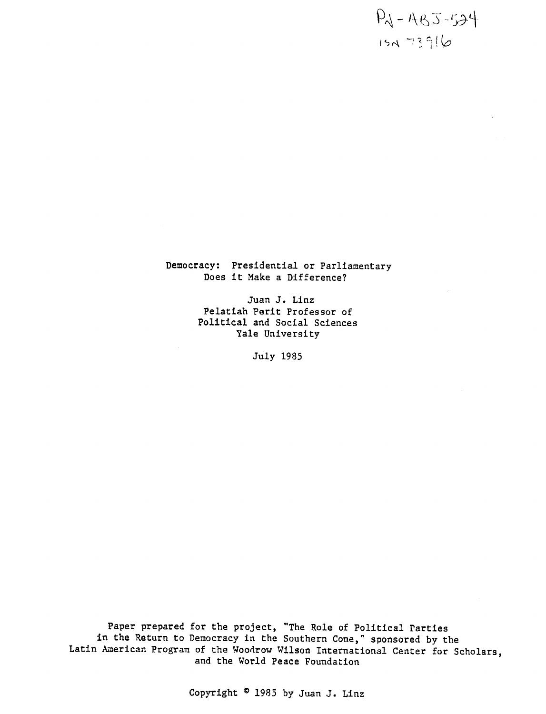$P_1 - A_85 - 534$ **VrA** 

Democracy: Presidential or Parliamentary Does it Make a Difference?

> Juan J. Linz Pelatiah Perit Professor of Political and Social Sciences Yale University

> > July 1985

Paper prepared for the project, "The Role of Political Parties in the Return to Democracy in the Southern Cone," sponsored by the Latin American Program of the Woodrow Wilson International Center for Scholars, and the World Peace Foundation

Copyright © 1985 by Juan J. Linz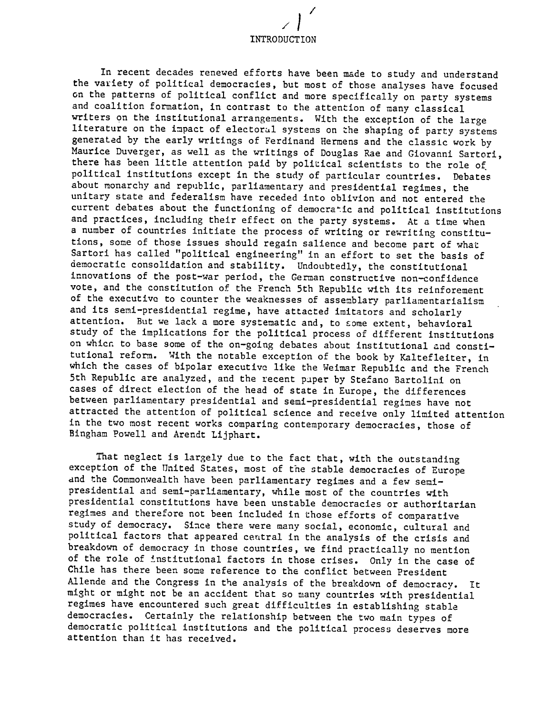INTRODUCTION

/

In recent decades renewed efforts have been made to study and understand the variety of political democracies, but most of those analyses have focused on the patterns of political conflict and more specifically on party systems and coalition formation, in contrast to the attention of many classical writers on the institutional arrangements. With the exception of the large literature on the impact of electoral systems on the shaping of party systems generated by the early writings of Ferdinand Hermens and the classic work by Maurice Duverger, as well as the writings of Douglas Rae and Giovanni Sartori, there has been little attention paid by political scientists to the role of political institutions except in the study of particular countries. Debates about monarchy and republic, parliamentary and presidential regimes, the unitary state and federalism have receded into oblivion and not entered the current debates about the functioning of democra-ic and political institutions and practices, including their effect on the party systems. At a time when a number of countries initiate the process of writing or rewriting constitutions, some of those issues should regain salience and become part of what Sartori has called "political engineering" in an effort to set the basis of democratic consolidation and stability. Undoubtedly, the constitutional innovations of the post-war period, the German constructive non-confidence vote, and the constitution of the French 5th Republic with its reinforement of the executive to counter the weaknesses of assemblary parliamentarialism and its semi-presidential regime, have attacted imitators and scholarly attention. But we lack a more systematic and, to some extent, behavioral study of the implications for the political process of different institutions on whica to base some of the on-going debates about institutional and constitutional reform. With the notable exception of the book by Kaltefleiter, in which the cases of bipolar executive like the Weimar Republic and the French 5th Republic are analyzed, and the recent paper by Stefano Bartolini on cases of direct election of the head of state in Europe, the differences between parliamentary presidential and semi-presidential regimes have not attracted the attention of political science and receive only limited attention in the two most recent works comparing contemporary democracies, those of Bingham Powell and Arendt Lijphart.

That neglect is largely due to the fact that, with the outstanding exception of the United States, most of the stable democracies of Europe and the Commonwealth have been parliamentary regimes and a few semipresidential and semi-parliamentary, while most of the countries with presidential constitutions have been unstable democracies or authoritarian regimes and therefore not been included in those efforts of comparative study of democracy. Since there were many social, economic, cultural and political factors that appeared central in the analysis of the crisis and breakdown of democracy in those countries, we find practically no mention of the role of institutional factors in those crises. Only in the case of Chile has there been some reference to the conflict between President Allende and the Congress in the analysis of the breakdown of democracy. It might or might not be an accident that so many countries with presidential regimes have encountered such great difficulties in establishing stable democracies. Certainly the relationship between the two main types of democratic political institutions and the political process deserves more attention than it has received.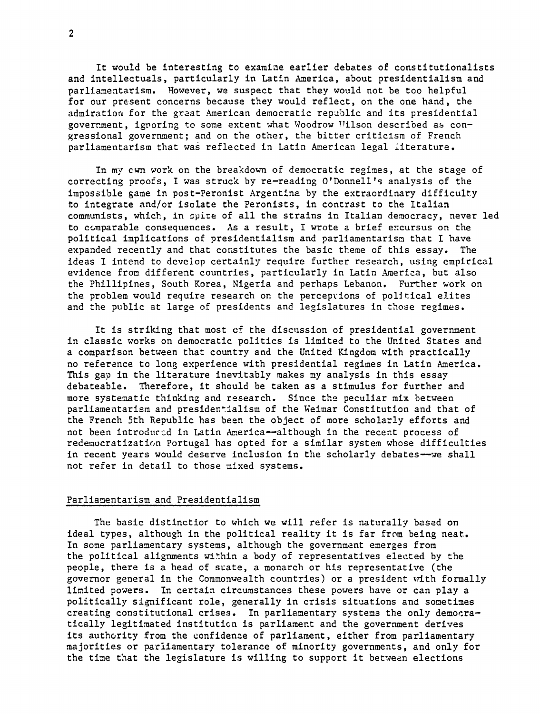It would be interesting to examine earlier debates of constitutionalists and intellectuals, particularly in Latin America, about presidentialism and parliamentarism. However, we suspect that they would not be too helpful for our present concerns because they would reflect, on the one hand, the admiration for the great American democratic republic and its presidential government, ignoring to some extent what Woodrow Uilson described as congressional government; and on the other, the bitter criticism of French parliamentarism that was reflected in Latin American legal literature.

In my cwn work on the breakdown of democratic regimes, at the stage of correcting proofs, I was struck by re-reading O'Donnell's analysis of the impossible game in post-Peronist Argentina by the extraordinary difficulty to integrate and/or isolate the Peronists, in contrast to the Italian communists, which, in spite of all the strains in Italian democracy, never led to comparable consequences. As a result, I wrote a brief e:cursus on the political implications of presidentialism and parliamentarism that I have expanded recently and that corstitutes the basic theme of this essay. The ideas I intend to develop certainly require further research, using empirical evidence from different countries, particularly in Latin America, but also the Phillipines, South Korea, Nigeria and perhaps Lebanon. Further work on the problem would require research on the percepvions of political elites and the public at large of presidents and legislatures in those regimes.

It is striking that most cf the discussion of presidential government in classic works on democratic politics is limited to the United States and a comparison between that country and the United Kingdom with practically no reference to long experience with presidential regimes in Latin America. This gap in the literature inevitably makes my analysis in this essay debateable. Therefore, it should be taken as a stimulus for further and more systematic thinking and research. Since the peculiar mix between parliamentarism and presidertialism of the Weimar Constitution and that of the French 5th Republic has been the object of more scholarly efforts and not been introduced in Latin America--although in the recent process of redemocratization Portugal has opted for a similar system whose difficulties in recent years would deserve inclusion in the scholarly debates--we shall not refer in detail to those mixed systems.

## Parliamentarism and Presidentialism

The basic distinctior to which we will refer is naturally based on ideal types, although in the political reality it is far from being neat. In some parliamentary systems, although the government emerges from the political alignments wi'hin a body of representatives elected by the people, there is a head of scate, a monarch or his representative (the governor general in the Commonwealth countries) or a president with formally limited powers. In certain circumstances these powers have or can play a politically significant role, generally in crisis situations and sometimes creating constitutional crises. In parliamentary systems the only democratically legitimated instituticn is parliament and the government derives its authority from the confidence of parliament, either from parliamentary majorities or parliamentary tolerance of minority governments, and only for the time that the legislature is willing to support it between elections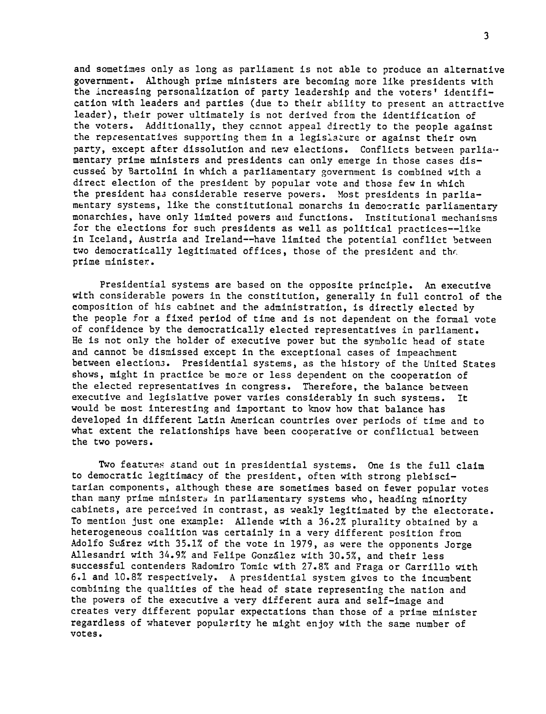and sometimes only as long as parliament is not able to produce an alternative government. Although prime ministers are becoming more like presidents with the increasing personalization of party leadership and the voters' identification with leaders and parties (due to their ability to present an attractive leader), their power ultimately is not derived from the identification of the voters. Additionally, they cannot appeal directly to the people against the representatives supporting them in a legislature or against their own party, except after dissolution and new elections. Conflicts between parliamentary prime ministers and presidents can only emerge in those cases discussed by Bartolini in which a parliamentary government is combined with a direct election of the president by popular vote and those few in which the president haa considerable reserve powers. Most presidents in parliamentary systems, like the constitutional monarchs in democratic parliamentary monarchies, have only limited powers and functions. Institutional mechanisms for the elections for such presidents as well as political practices--like in Iceland, Austria and Ireland--have limited the potential conflict between two democratically legitimated offices, those of the president and the prime minister.

Presidential systems are based on the opposite principle. An executive with considerable powers in the constitution, generally in full control of the composition of his cabinet and the administration, is directly elected by the people for a fixed period of time and is not dependent on the formal vote of confidence by the democratically elected representatives in parliament. He is not only the holder of executive power but the symbolic head of state and cannot be dismissed except in the exceptional cases of impeachment between election3. Presidential systems, as the history of the United States shows, might in practice be more or less dependent on the cooperation of the elected representatives in congress. Therefore, the balance between executive and legislative power varies considerably in such systems. It would be most interesting and important to know how that balance has developed in different Latin American countries over periods of time and to what extent the relationships have been cooperative or conflictual between the two powers.

Two features stand out in presidential systems. One is the full claim to democratic legitimacy of the president, often with strong plebiscitarian components, although these are sometimes based on fewer popular votes than many prime ministers in parliamentary systems who, heading minority cabinets, are perceived in contrast, as weakly legitimated by the electorate. To mentiou just one example: Allende with a 36.2% plurality obtained by a heterogeneous coalition was certainly in a very different position from Adolfo Suarez with 35.1% of the vote in 1979, as were the opponents Jorge Allesandri with 34.9% and Felipe Gonzalez with 30.5%, and their less successful contenders Radomiro Tomic with 27.8% and Fraga or Carrillo with 6.1 and 10.8% respectively. A presidential system gives to the incumbent combining the qualities of the head of state representing the nation and the powers of the executive a very different aura and self-image and creates very different popular expectations than those of a prime minister regardless of whatever popularity he might enjoy with the same number of votes,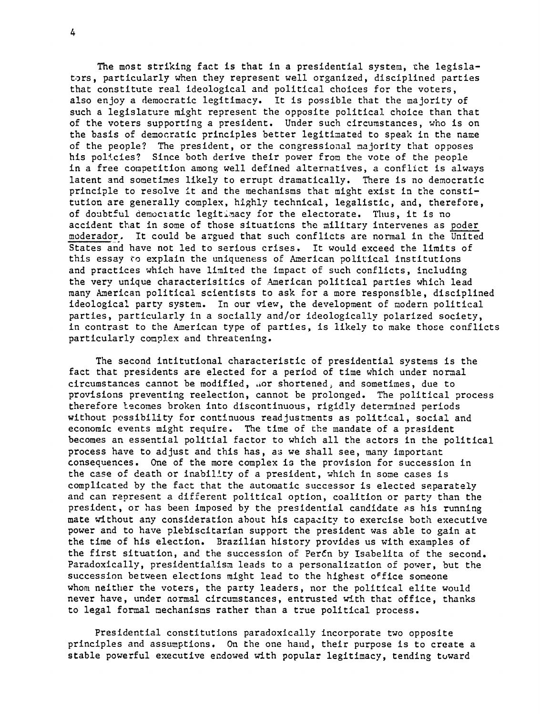The most striking fact is that in a presidential system, the legislators, particularly when they represent well organized, disciplined parties that constitute real ideological and political choices for the voters, also enjoy a democratic legitimacy. It is possible that the majority of such a legislature might represent the opposite political choice than that of the voters supporting a president. Under such circumstances, who is on the basis of democratic principles better legitimated to speak in the name of the people? The president, or the congressional majority that opposes his policies? Since both derive their power from the vote of the people in a free competition among well defined alternatives, a conflict is always latent and sometimes likely to errupt dramatically. There is no democratic principle to resolve it and the mechanisms that might exist in the constitution are generally complex, highly technical, legalistic, and, therefore, of doubtful democratic legitimacy for the electorate. Thus, it is no accident that in some of those situations the military intervenes as poder moderador. It could be argued that such conflicts are normal in the United States and have not led to serious crises. It would exceed the limits of this essay to explain the uniqueness of American political institutions and practices which have limited the impact of such conflicts, including the very unique characterisitics of American political parties which lead many American political scientists to ask for a more responsible, disciplined ideological party system. In our view, the development of modern political parties, particularly in a socially and/or ideologically polarized society, in contrast to the American type of parties, is likely to make those conflicts particularly complex and threatening.

The second intitutional characteristic of presidential systems is the fact that presidents are elected for a period of time which under normal circumstances cannot be modified, nor shortened, and sometimes, due to provisions preventing reelection, cannot be prolonged. The political process therefore lecomes broken into discontinuous, rigidly determined periods without possibility for continuous readjustments as political, social and economic events might require. The time of the mandate of a president becomes an essential politial factor to which all the actors in the political process have to adjust and this has, as we shall see, many important consequences. One of the more complex is the provision for succession in the case of death or inability of a president, which in some cases is complicated by the fact that the automatic successor is elected separately and can represent a different political option, coalition or party than the president, or has been imposed by the presidential candidate as his running mate without any consideration about his capacity to exercise both executive power and to have plebiscitarian support the president was able to gain at the time of his election. Brazilian history provides us with examples of the first situation, and the succession of Perfn by Isabelita of the second. Paradoxically, presidentialism leads to a personalization of power, but the succession between elections might lead to the highest office someone whom neither the voters, the party leaders, nor the political elite would never have, under normal circumstances, entrusted with that office, thanks to legal formal mechanisms rather than a true political process.

Presidential constitutions paradoxically incorporate two opposite principles and assumptions. On the one hand, their purpose is to create a stable powerful executive endowed with popular legitimacy, tending tuward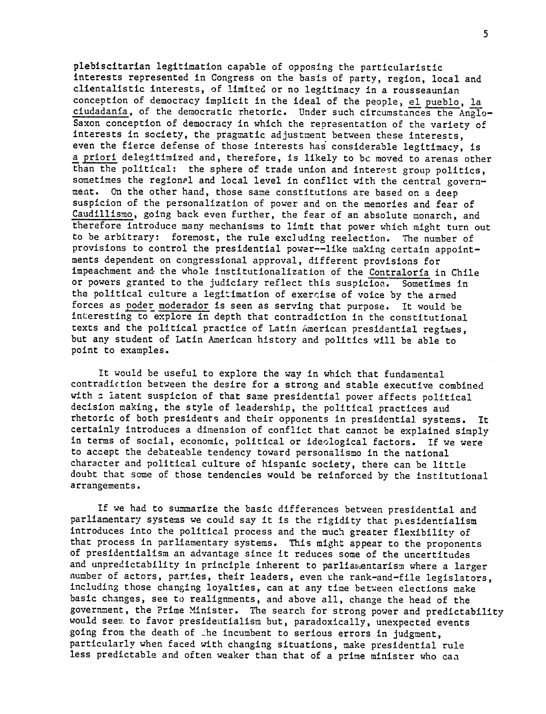plebiscitarian legitimation capable of opposing the particularistic interests represented in Congress on the basis of party, region, local and clientalistic interests, of limited or no legitimacy in a rousseaunian conception of democracy implicit in the ideal of the people, el pueblo, la ciudadania, of the democratic rhetoric. Under such circumstances the Anglo- Saxon conception of democracy in which the representation of the variety of interests in society, the pragmatic adjustment between these interests, even the fierce defense of those interests has considerable legitimacy, is a priori delegitimized and, therefore, is likely to bc moved to arenas other than the political: the sphere of trade union and interest group politics, sometimes the regional and local level in conflict with the central government. On the other hand, those same constitutions are based on a deep suspicion of the personalization of power and on the memories and fear of Caudillismo, going back even further, the fear of an absolute monarch, and therefore introduce many mechanisms to limit that power which might turn out to be arbitrary: foremost, the rule excluding reelection. The number of provisions to control the presidential power--like making certain appointments dependent on congressional approval, different provisions for impeachment and. the whole institutionalization of the Contraloria in Chile or powers granted to the judiciary reflect this suspicion. Sometimes in the political culture a legitimation of exercise of voice by the armed forces as poder moderador is seen as serving that purpose. It would be interesting to explore in depth that contradiction in the constitutional texts and the political practice of Latin American presidential regimes, but any student of Latin American history and politics will be able to point to examples.

It would be useful to explore the way in which that fundamental contradiction between the desire for a strong and stable executive combined with a latent suspicion of that same presidential power affects political decision making, the style of leadership, the political practices and rhetoric of both presidents and their opponents in presidential systems. It certainly introduces a dimension of conflict that cannot be explained simply in terms of social, economic, political or ideological factors. If we were to accept the debateable tendency toward personalismo in the national character and political culture of hispanic society, there can be little doubt that some of those tendencies would be reinforced by the institutional arrangements.

If we had to sumarize the basic differences between presidential and parliamentary systems we could say it is the rigidity that presidentialism introduces into the political process and the much greater flexibility of that process in parliamentary systems. This might appear to the proponents of presidentialism an advantage since it reduces some of the uncertitudes and unpredictability in principle inherent to parliaDentarism where a larger number of actors, parties, their leaders, even the rank-and-file legislators, including those changing loyalties, can at any time between elections make basic changes, see to realignments, and above all, change the head of the government, the Prime Minister. The search for strong power and predictability would seer. to favor presideatialism but, paradoxically, unexpected events going from the death of the incumbent to serious errors in judgment, particularly when faced with changing situations, make presidential rule less predictable and often weaker than that of a prime minister who can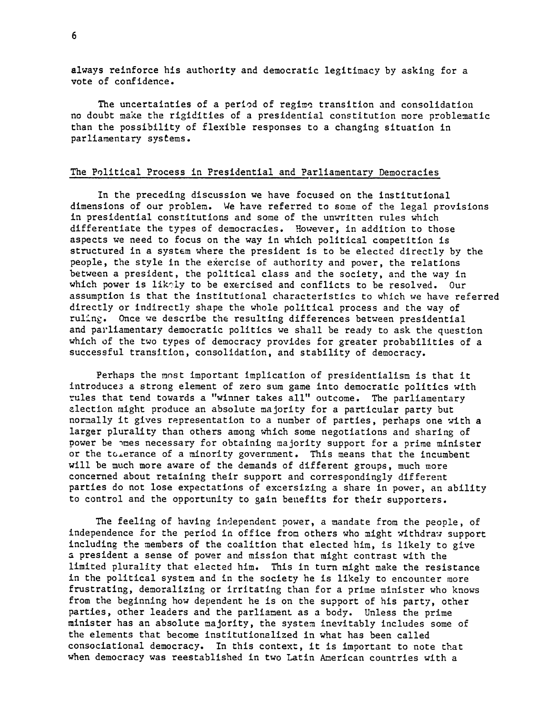always reinforce his authority and democratic legitimacy by asking for a vote of confidence.

The uncertainties of a period of regime transition and consolidation no doubt make the rigidities of a presidential constitution more problematic than the possibility of flexible responses to a changing situation in parliamentary systems.

## The Political Process in Presidential and Parliamentary Democracies

In the preceding discussion we have focused on the institutional dimensions of our problem. We have referred to some of the legal provisions in presidential constitutions and some of the unwritten rules which differentiate the types of democracies. However, in addition to those aspects we need to focus on the way in which political competition is structured in a system where the president is to be elected directly by the people, the style in the exercise of authority and power, the relations between a president, the political class and the society, and the way in which power is likely to be exercised and conflicts to be resolved. Our assumption is that the institutional characteristics to which we have referred directly or indirectly shape the whole political process and the way of ruling. Once we describe the resulting differences between presidential and parliamentary democratic politics we shall be ready to ask the question which of the two types of democracy provides for greater probabilities of a successful transition, consolidation, and stability of democracy.

Perhaps the most important implication of presidentialism is that it introduce3 a strong element of zero sum game into democratic politics with rules that tend towards a "winner takes all" outcome. The parliamentary election might produce an absolute majority for a particular party but normally it gives representation to a number of parties, perhaps one with a larger plurality than others among which some negotiations and sharing of power be mes necessary for obtaining majority support for a prime minister or the to erance of a minority government. This means that the incumbent will be much more aware of the demands of different groups, much more concerned about retaining their support and correspondingly different parties do not lose expectations of excersizing a share in power, an ability to control and the opportunity to gain benefits for their supporters.

The feeling of having independent power, a mandate from the people, of independence for the period in office from others who might withdraw support includinz the members of the coalition that elected him, is likely to give a president a sense of power and mission that might contrast with the limited plurality that elected him. This in turn might make the resistance in the political system and in the society he is likely to encounter more frustrating, demoralizing or irritating than for a prime minister who knows from the beginning how dependent he is on the support of his party, other parties, other leaders and the parliament as a body. Unless the prime minister has an absolute majority, the system inevitably includes some of the elements that become institutionalized in what has been called consociational democracy. In this context, it is important to note that when democracy was reestablished in two Latin American countries with a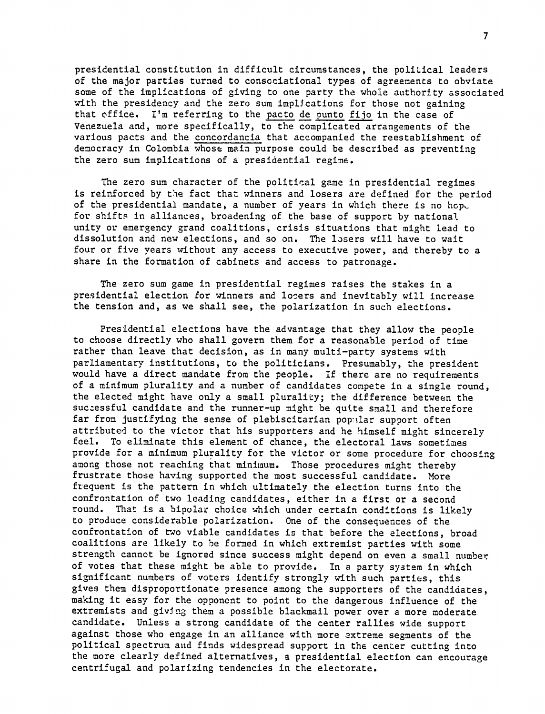presidential constitution in difficult circumstances, the political leaders of the major parties turned to consociational types of agreements to obviate some of the implications of giving to one party the whole authority associated with the presidency and the zero sum implications for those not gaining that office. I'm referring to the pacto de punto fijo in the case of Venezuela and, more specifically, to the complicated arrangements of the various pacts and the concordancia that accompanied the reestablishment of democracy in Colombia whose main purpose could be described as preventing the zero sum implications of a presidential regime.

The zero sum character of the political game in presidential regimes is reinforced by the fact that winners and losers are defined for the period of the presidential mandate, a number of years in which there is no hop. for shifts in alliances, broadening of the base of support by national unity or emergency grand coalitions, crisis situations that might lead to dissolution and new elections, and so on. The losers will have to wait four or five years without any access to executive power, and thereby to a share in the formation of cabinets and access to patronage.

The zero sum game in presidential regimes raises the stakes in a presidential election for winners and losers and inevitably will increase the tension and, as we shall see, the polarization in such elections.

Presidential elections have the advantage that they allow the people to choose directly who shall govern them for a reasonable period of time rather than leave that decision, as in many multi-party systems with parliamentary institutions, to the politicians. Presumably, the president would have a direct mandate from the people. If there are no requirements of a minimum plurality and a number of candidates compete in a single round, the elected might have only a small plurality; the difference between the suczessful candidate and the runner-up might be quite small and therefore far from justifying the sense of plebiscitarian popular support often attributed to the victor that his supporters and he himself might sincerely feel. To eliminate this element of chance, the electoral laws sometimes provide for a minimum plurality for the victor or some procedure for choosing among those not reaching that minimum. Those procedures might thereby frustrate those having supported the most successful candidate. More frequent is the pattern in which ultimately the election turns into the confrontation of two leading candidates, either in a first or a second round. That is a bipolar choice which under certain conditions is likely to produce considerable polarization. One of the consequences of the confrontation of two viable candidates is that before the elections, broad coalitions are likely to be formed in which extremist parties with some strength cannot be ignored since success might depend on even a small number of votes that these might be able to provide. In a party system in which significant numbers of voters identify strongly with such parties, this gives them disproportionate presence among the supporters of the candidates, making it easy for the opponent to point to the dangerous influence of the extremists and givIng them a possible blackmail power over a more moderate candidate. Unless a strong candidate of the center rallies wide support against those who engage in an alliance with more axtreme segments of the political spectrum and finds widespread support in the center cutting into the more clearly defined alternatives, a presidential election can encourage centrifugal and polarizing tendencies in the electorate.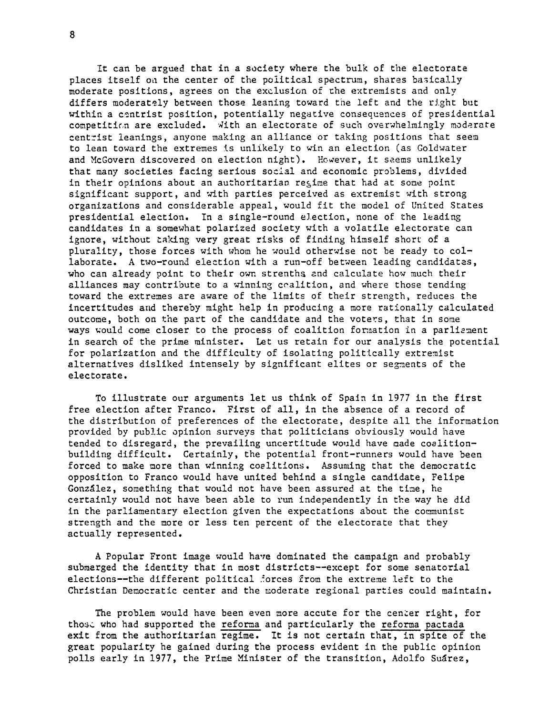it can be argued that in a society where the bulk of the electorate places itself on the center of the political spectrum, shares basically moderate positions, agrees on the exclusion of the extremists and only differs moderately between those leaning toward the left and the right but within a centrist position, potentially negative consequences of presidential competition are excluded. With an electorate of such overwhelmingly moderate centrist leanings, anyone making an alliance or taking positions that seem to lean toward the extremes is unlikely to win an election (as Goldwater and McGovern discovered on election night). However, it seems unlikely that many societies facing serious social and economic problems, divided in their opinions about an authoritarian regime that had at some point significant support, and with parties perceived as extremist with strong organizations and considerable appeal, would fit the model of United States presidential election. In a single-round election, none of the leading candidates in a somewhat polarized society with a volatile electorate can ignore, without taking very great risks of finding himself short of a plurality, those forces with whom he would otherwise not be ready to collaborate. A two-round election with a run-off between leading candidates, who can already point to their own strenths and calculate how much their alliances may contribute to a winning coalition, and where those tending toward the extremes are aware of the limits of their strength, reduces the incertitudes and thereby might help in producing a more rationally calculated outcome, both on the part of the candidate and the voters, that in some ways would come closer to the process of coalition formation in a parliement in search of the prime minister. Let us retain for our analysis the potential for polarization and the difficulty of isolating politically extremist alternatives disliked intensely by significant elites or segments of the electorate.

To illustrate our arguments let us think of Spain in 1977 in the first free election after Franco. First of all, in the absence of a record of the distribution of preferences of the electorate, despite all the information provided by public opinion surveys that politicians obviously would have tended to disregard, the prevailing uncertitude would have made coalitionbuilding difficult. Certainly, the potential front-runners would have been forced to make more than winning coalitions. Assuming that the democratic opposition to Franco would have united behind a single candidate, Felipe Gonzalez, something that would not have been assured at the time, he certainly would not have been able to run independently in the way he did in the parliamentary election given the expectations about the communist strength and the more or less ten percent of the electorate that they actually represented.

A Popular Front image would have dominated the campaign and probably submerged the identity that in most districts--except for some senatorial elections--the different political 'orces from the extreme left to the Christian Democratic center and the moderate regional parties could maintain.

The problem would have been even more accute for the center right, for those who had supported the reforma and particularly the reforma pactada exit from the authoritarian regime. It is not certain that, in spite of the great popularity he gained during the process evident in the public opinion polls early in 1977, the Prime Minister of the transition, Adolfo Sudrez,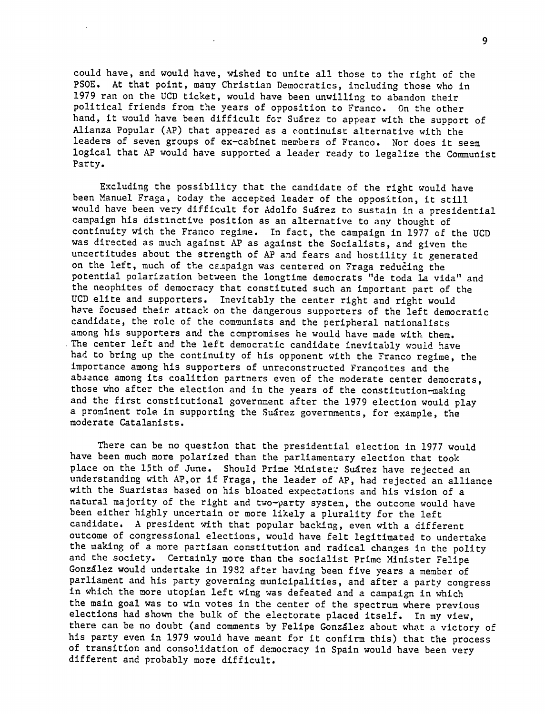could have, and would have, wished to unite all those to the right of the PSOE. At that point, many Christian Democratics, including those who in 1979 ran on the UCD ticket, would have been unwilling to abandon their political friends from the years of opposition to Franco. On the other hand, it would have been difficult for Sudrez to appear with the support of Alianza Popular (AP) that appeared as a continuist alternative with the leaders of seven groups of ex-cabinet members of Franco. Nor does it seem logical that AP would have supported a leader ready to legalize the Communist Party.

Excluding the possibility that the candidate of the right would have been Manuel Fraga, today the accepted leader of the opposition, it still would have been very difficult for Adolfo Suarez to sustain in a presidential campaign his distinctive position as an alternative to any thought of continuity with the Franco regime. In fact, the campaign in 1977 of the UCD was directed as much against AP as against the Socialists, and given the uncertitudes about the strength of AP and fears and hostility it generated on the left, much of the campaign was centered on Fraga reducing the potential polarization between the longtime democrats "de toda La vida" and the neophites of democracy that constituted such an important part of the UCD elite and supporters. Inevitably the center right and right would have focused their attack on the dangerous supporters of the left democratic candidate, the role of the communists and the peripheral nationalists among his supporters and the compromises he would have made with them. The center left and the left democratic candidate inevitably would have had to bring up the continuity of his opponent with the Franco regime, the importance among his supporters of unreconstructed Francoites and the absence among its coalition partners even of the moderate center democrats, those who after the election and in the years of the constitution-making and the first constitutional government after the 1979 election would play a prominent role in supporting the Suarez governments, for example, the moderate Catalanists.

There can be no question that the presidential election in 1977 would have been much more polarized than the parliamentary election that took place on the 15th of June. Should Prime Minister Suarez have rejected an understanding with AP,or if Fraga, the leader of AP, had rejected an alliance with the Suaristas based on his bloated expectations and his vision of a natural majority of the right and two-party system, the outcome would have been either highly uncertain or more likely a plurality for the left candidate. A president with that popular backing, even with a different outcome of congressional elections, would have felt legitimated to undertake the making of a more partisan constitution and radical changes in the polity and the society. Certainly more than the socialist Prime Minister Felipe González would undertake in 1932 after having been five years a member of parliament and his party governing municipalities, and after a party congress in which the more utopian left wing was defeated and a campaign in which the main goal was to win votes in the center of the spectrum where previous elections had shown the bulk of the electorate placed itself. In my view, there can be no doubt (and comments by Felipe Gonzalez about what a victory of his party even in 1979 would have meant for it confirm this) that the process of transition and consolidation of democracy in Spain would have been very different and probably more difficult.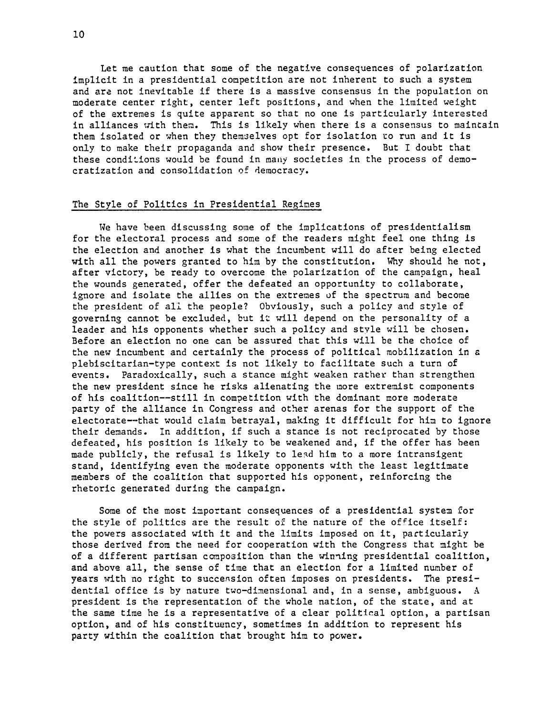Let me caution that some of the negative consequences of polarization implicit in a presidential competition are not inherent to such a system and are not inevitable if there is a massive consensus in the population on moderate center right, center left positions, and when the limited weight of the extremes is quite apparent so that no one is particularly interested in alliances with them. This is likely when there is a consensus to maintain them isolated or when they themoelves opt for isolation to run and it is only to make their propaganda and show their presence. But I doubt that these conditions would be found in many societies in the process of democratization and consolidation of democracy.

# The Style of Politics in Presidential Regimes

We have been discussing some of the implications of presidentialism for the electoral process and some of the readers might feel one thing is the election and another is what the incumbent will do after being elected with all the powers granted to him by the constitution. Why should he not, after victory, be ready to overcome the polarization of the campaign, heal the wounds generated, offer the defeated an opportunity to collaborate, ignore and isolate the allies on the extremes of the spectrum and become the president of all the people? Obviously, such a policy and style of governing cannot be excluded, but it will depend on the personality of a leader and his opponents whether such a policy and style will be chosen. Before an election no one can be assured that this will be the choice of the new incumbent and certainly the process of political mobilization in a plebiscitarian-type context is not likely to facilitate such a turn of events. Paradoxically, such a stance might weaken rather than strengthen the new president since he risks alienating the more extremist components of his coalition--still in competition with the dominant more moderate party of the alliance in Congress and other arenas for the support of the electorate--that would claim betrayal, making it difficult for him to ignore their demands. In addition, if such a stance is not reciprocated by those defeated, his position is likely to be weakened and, if the offer has been made publicly, the refusal is likely to lead him to a more intransigent stand, identifying even the moderate opponents with the least legitimate members of the coalition that supported his opponent, reinforcing the rhetoric generated during the campaign.

Some of the most important consequences of a presidential system for the style of politics are the result of the nature of the office itself: the powers associated with it and the limits imposed on it, particularly those derived from the need for cooperation with the Congress that might be of a different partisan composition than the winning presidential coalition, and above all, the sense of time that an election for a limited number of years with no right to succession often imposes on presidents. The presidential office is by nature two-dimensional and, in a sense, ambiguous. A president is the representation of the whole nation, of the state, and at the same time he is a representative of a clear political option, a partisan option, and of his constituency, sometimes in addition to represent his party within the coalition that brought him to power.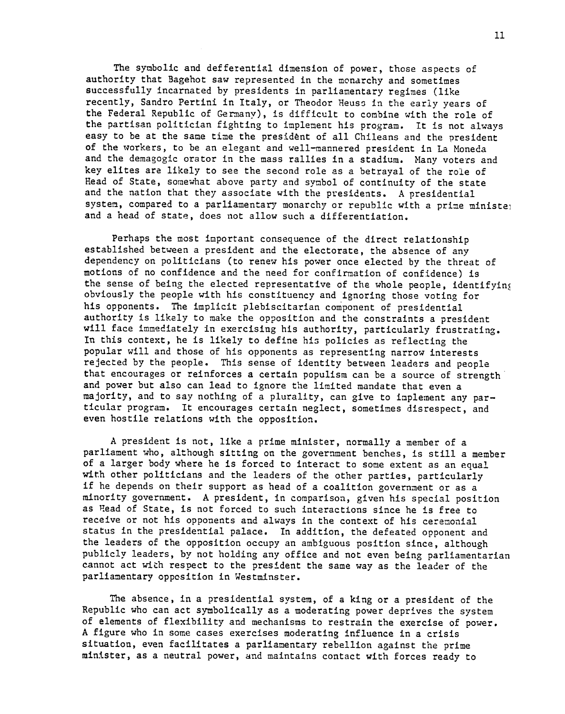The symbolic and defferential dimension of power, those aspects of authority that Bagehot saw represented in the monarchy and sometimes successfully incarnated by presidents in parliamentary regimes (like recently, Sandro Pertini in Italy, or Theodor Heuss in the early years of the Federal Republic of Germany), is difficult to combine with the role of the partisan politician fighting to implement his program. It is not always easy to be at the same time the president of all Chileans and the president of the workers, to be an elegant and well-mannered president in La Moneda and the demagogic orator in the mass rallies in a stadium. Many voters and key elites are likely to see the second role as a betrayal of the role of Head of State, somewhat above party and symbol of continuity of the state and the nation that they associate with the presidents. A presidential system, compared to a parliamentary monarchy or republic with a prime ministe; and a head of state, does not allow such a differentiation.

Perhaps the most important consequence of the direct relationship established between a president and the electorate, the absence of any dependency on politicians (to renew his power once elected by the threat of motions of no confidence and the need for confirmation of confidence) is the sense of being the elected representative of the whole people, identifying obviously the people with his constituency and ignoring those voting for his opponents. The implicit plebiscitarian component of presidential authority is likely to make the opposition and the constraints a president will face immediately in exercising his authority, particularly frustrating. In this context, he is likely to define his policies as reflecting the popular will and those of his opponents as representing narrow interests rejected by the people. This sense of identity between leaders and people that encourages or reinforces a certain populism can be a source of strength t, and power but also can lead to ignore the limited mandate that even a majority, and to say nothing of a plurality, can give to implement any particular program. It encourages certain neglect, sometimes disrespect, and even hostile relations with the opposition.

A president is not, like a prime minister, normally a member of a parliament who, although sitting on the government benches, is still a member of a larger body where he is forced to interact to some extent as an equal with other politicians and the leaders of the other parties, particularly if he depends on their support as head of a coalition government or as a minority government. A president, in comparison, given his special position as Read of State, is not forced to such interactions since he is free to receive or not his opponents and always in the context of his ceremonial status in the presidential palace. In addition, the defeated opponent and the leaders of the opposition occupy an ambiguous position since, although publicly leaders, by not holding any office and not even being parliamentarian cannot act with respect to the president the same way as the leader of the parliamentary opposition in Westminster.

The absence, in a presidential system, of a king or a president of the Republic who can act symbolically as a moderating power deprives the system of elements of flexibility and mechanisms to restrain the exercise of power. A figure who in some cases exercises moderating influence in a crisis situation, even facilitates a parliamentary rebellion against the prime minister, as a neutral power, and maintains contact with forces ready to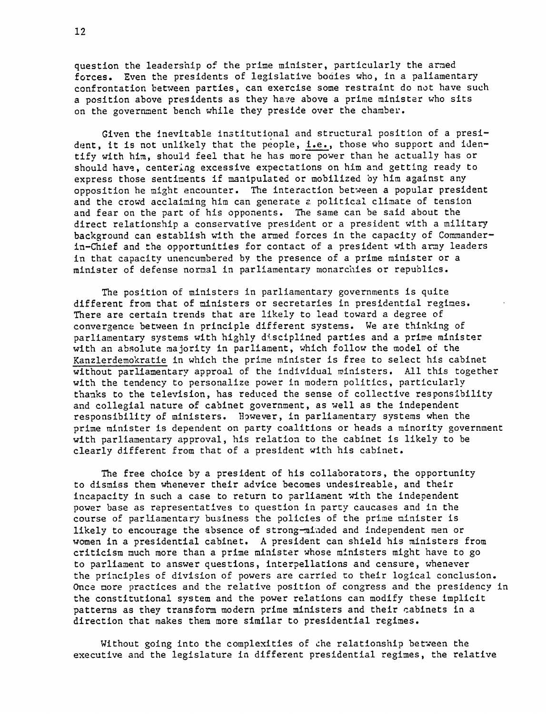question the leadership of the prime minister, particularly the armed forces. Even the presidents of legislative bodies who, in a paliamentary confrontation between parties, can exercise some restraint do not have such a position above presidents as they have above a prime minister who sits on the government bench while they preside over the chamber.

Given the inevitable institutional and structural position of a president, it is not unlikely that the people, i.e., those who support and identify with him, should feel that he has more power than he actually has or should have, centering excessive expectations on him and getting ready to express those sentiments if manipulated or mobilized by him against any opposition he might encounter. The interaction between a popular president and the crowd acclaiming him can generate a political climate of tension and fear on the part of his opponents. The same can be said about the direct relationship a conservative president or a president with a military background can establish with the armed forces in the capacity of Commanderin-Chief and the opportunities for contact of a president with army leaders in that capacity unencumbered by the presence of a prime minister or a minister of defense normal in parliamentary monarchies or republics.

The position of ministers in parliamentary governments is quite different from that of ministers or secretaries in presidential regimes. There are certain trends that are likely to lead toward a degree of convergence between in principle different systems. We are thinking of parliamentary systems with highly disciplined parties and a prime minister with an absolute majority in parliament, which follow the model of the Kanzlerdemokratie in which the prime minister is free to select his cabinet without parliamentary approal of the individual ministers. All this together with the tendency to personalize power in modern politics, particularly thanks to the television, has reduced the sense of collective responsibility and collegial nature of cabinet government, as well as the independent responsibility of ministers. However, in parliamentary systems when the prime minister is dependent on party coalitions or heads a minority government with parliamentary approval, his relation to the cabinet is likely to be clearly different from that of a president with his cabinet.

The free choice by a president of his collaborators, the opportunity to dismiss them whenever their advice becomes undesireable, and their incapacity in such a case to return to parliament with the independent power base as representatives to question in party caucases and in the course of parliamentary business the policies of the prime minister is likely to encourage the absence of strong-minded and independent men or women in a presidential cabinet. A president can shield his ministers from criticism much more than a prime minister whose ministers might have to go to parliament to answer questions, interpellations and censure, whenever the principles of division of powers are carried to their logical conclusion. Once more practices and the relative position of congress and the presidency in the constitutional system and the power relations can modify these implicit patterns as they transform modern prime ministers and their cabinets in a direction that makes them more similar to presidential regimes.

Without going into the complexities of che relationship between the executive and the legislature in different presidential regimes, the relative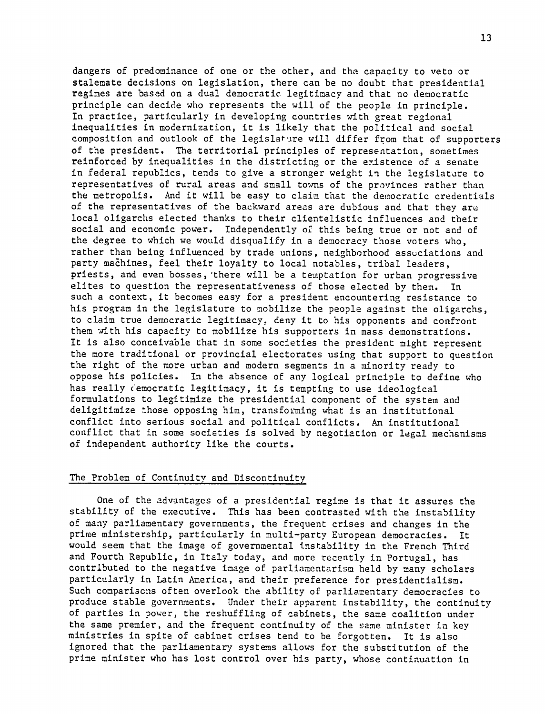dangers of predominance of one or the other, and the capacity to veto or stalemate decisions on legislation, there can be no doubt that presidential regimes are based on a dual democratic legitimacy and that no democratic principle can decide who represents the will of the people in principle. In practice, particularly in developing countries with great regional inequalities in modernization, it is likely that the political and social composition and outlook of the legislature will differ from that of supporters of the president. The territorial principles of representation, sometimes reinforced by inequalities in the districting or the existence of a senate in federal republics, tends to give a stronger weight in the legislature to representatives of rural areas and small towns of the provinces rather than the metropolis. And it will be easy to claim that the democratic credentials of the representatives of the backward areas are dubious and that they are local oligarchs elected thanks to their clientelistic influences and their social and economic power. Independently of this being true or not and of the degree to which we would disqualify in a democracy those voters who, rather than being influenced by trade unions, neighborhood assuciations and party machines, feel their loyalty to local notables, tribal leaders, priests, and even bosses,'there will be a temptation for urban progressive elites to question the representativeness of those elected by them. In such a context, it becomes easy for a president encountering resistance to his program in the legislature to mobilize the people against the oligarchs, to claim true democratic legitimacy, deny it to his opponents and confront them with his capacity to mobilize his supporters in mass demonstrations. It is also conceivable that in some societies the president might represent the more traditional or provincial electorates using that support to question the right of the more urban and modern segments in a minority ready to oppose his policies. In the absence of any logical principle to define who has really c'emocratic legitimacy, it is tempting to use ideological formulations to legitimize the presidential component of the system and deligitimize those opposing him, transforming what is an institutional conflict into serious social and political conflicts. An institutional conflict that in some societies is solved by negotiation or legal mechanisms of independent authority like the courts.

## The Problem of Continuity and Discontinuity

One of the advantages of a presidential regime is that it assures the stability of the executive. This has been contrasted with the instability of many parliamentary governments, the frequent crises and changes in the prime ministership, particularly in multi-party European democracies. It would seem that the image of governmental instability in the French Third and Fourth Republic, in Italy today, and more recently in Portugal, has contributed to the negative image of parliamentarism held by many scholars particularly in Latin America, and their preference for presidentialism. Such comparisons often overlook the ability of parliamentary democracies to produce stable governments. Under their apparent instability, the continuity of parties in power, the reshuffling of cabinets, the same coalition under the same premier, and the frequent continuity of the same minister in key ministries in spite of cabinet crises tend to be forgotten. It is also ignored that the parliamentary systems allows for the substitution of the prime minister who has lost control over his party, whose continuation in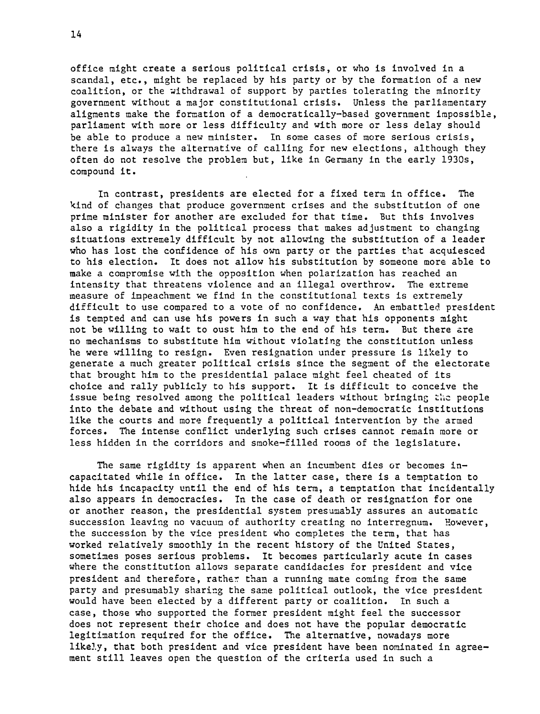office might create a serious political crisis, or who is involved in a scandal, etc., might be replaced by his party or by the formation of a new coalition, or the withdrawal of support by parties tolerating the minority government without a major constitutional crisis. Unless the parliamentary aligments make the formation of a democratically-based government impossible, parliament with more or less difficulty and with more or less delay should be able to produce a new minister. In some cases of more serious crisis, there is always the alternative of calling for new elections, although they often do not resolve the problem but, like in Germany in the early 1930s, compound it.

In contrast, presidents are elected for a fixed term in office. The kind of changes that produce government crises and the substitution of one prime minister for another are excluded for that time. But this involves also a rigidity in the political process that makes adjustment to changing situations extremely difficult by not allowing the substitution of a leader who has lost the confidence of his own party or the parties that acquiesced to his election. It does not allow his substitution by someone more able to make a compromise with the opposition when polarization has reached an intensity that threatens violence and an illegal overthrow. The extreme measure of impeachment we find in the constitutional texts is extremely difficult to use compared to a vote of no confidence. An embattled president is tempted and can use his powers in such a way that his opponents might not be willing to wait to oust him to the end of his term. But there are no mechanisms to substitute him without violating the constitution unless he were willing to resign. Even resignation under pressure is likely to generate a much greater political crisis since the segment of the electorate that brought him to the presidential palace might feel cheated of its choice and rally publicly to his support. It is difficult to conceive the issue being resolved among the political leaders without bringing thc people into the debate and without using the threat of non-democratic institutions like the courts and more frequently a political intervention by the armed forces. The intense conflict underlying such crises cannot remain more or less hidden in the corridors and smoke-filled rooms of the legislature,

The same rigidity is apparent when an incumbent dies or becomes incapacitated while in office. In the latter case, there is a temptation to hide his incapacity until the end of his term, a temptation that incidentally also appears in democracies. In the case of death or resignation for one or another reason, the presidential system presumably assures an automatic succession leaving no vacuum of authority creating no interregnum. However, the succession by the vice president who completes the term, that has worked relatively smoothly in the recent history of the United States, sometimes poses serious problems. It becomes particularly acute in cases where the constitution allows separate candidacies for president and vice president and therefore, rather than a running mate coming from the same party and presumably sharing the same political outlook, the vice president would have been elected by a different party or coalition. In such a case, those who supported the former president might feel the successor does not represent their choice and does not have the popular democratic legitimation required for the office. The alternative, nowadays more likely, that both president and vice president have been nominated in agreement still leaves open the question of the criteria used in such a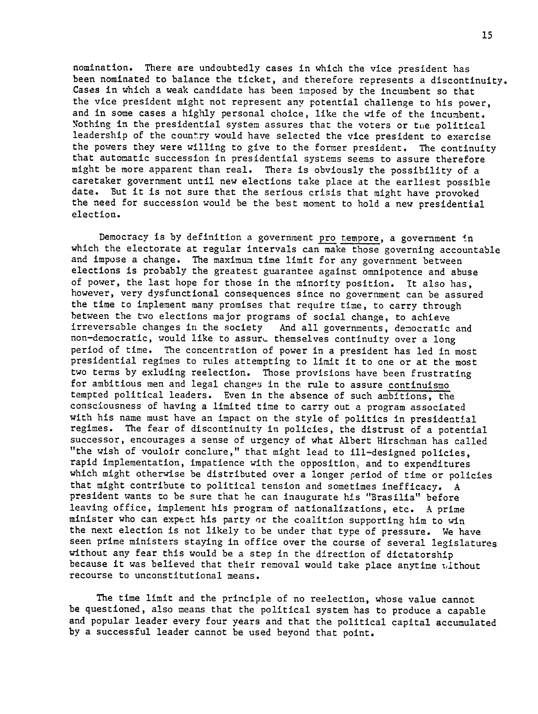nomination. There are undoubtedly cases in which the vice president has been nominated to balance the ticket, and therefore represents a discontinuity. Cases in which a weak candidate has been imposed by the incumbent so that the vice president might not represent any potential challenge to his power, and in some cases a highly personal choice, like the wife of the incumbent. Nothing in the presidential system assures that the voters or tue political leadership of the country would have selected the vice president to exercise the powers they were willing to give to the former president. The continuity that automatic succession in presidential systems seems to assure therefore might be more apparent than real. There is obviously the possibility of a caretaker government until new elections take place at the earliest possible date. But it is not sure that the serious crisis that might have provoked the need for succession would be the best moment to hold a new presidential election.

Democracy is by definition a government pro tempore, a government in which the electorate at regular intervals can make those governing accountable and impose a change. The maximum time limit for any government between elections is probably the greatest guarantee against omnipotence and abuse of power, the last hope for those in the minority position. It also has, however, very dysfunctional consequences since no government can be assured the time to implement many promises that require time, to carry through between the two elections major programs of social change, to achieve irreversable changes in the society And all governments, democratic and non-democratic, would like to assure themselves continuity over a long period of time. The concentration of power in a president has led in most presidential regimes to rules attempting to limit it to one or at the most two terms by exluding reelection. Those provisions have been frustrating for ambitious men and legal changes in the rule to assure continuismo tempted political leaders. Even in the absence of such ambitions, the consciousness of having a limited time to carry out a program associated with his name must have an impact on the style of politics in presidential regimes. The fear of discontinuity in policies, the distrust of a potential successor, encourages a sense of urgency of what Albert Hirschman has called "the wish of vouloir conclure," that might lead to ill-designed policies, rapid implementation, impatience with the opposition, and to expenditures which might otherwise be distributed over a longer period of time or policies that might contribute to political tension and sometimes inefficacy. A president wants to be sure that he can inaugurate his "Brasilia" before leaving office, implement his program of nationalizations, etc. A prime minister who can expect his party or the coalition supporting him to win the next election is not likely to be under that type of pressure. We have seen prime ministers staying in office over the course of several legislatures without any fear this would be a step in the direction of dictatorship because it was believed that their removal would take place anytime ,ithout recourse to unconstitutional means.

The time limit and the principle of no reelection, whose value cannot be questioned, also means that the political system has to produce a capable and popular leader every four years and that the political capital accumulated by a successful leader cannot be used beyond that point.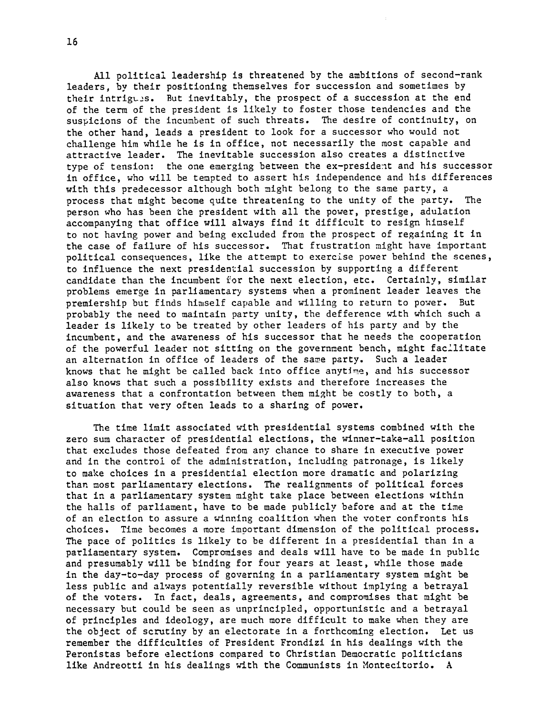All political leadership is threatened by the ambitions of second-rank leaders, by their positioning themselves for succession and sometimes by their intrigues. But inevitably, the prospect of a succession at the end of the term of the president is likely to foster those tendencies and the suspicions of the incumbent of such threats. The desire of continuity, on the other hand, leads a president to look for a successor who would not challenge him while he is in office, not necessarily the most capable and attractive leader. The inevitable succession also creates a distinctive type of tension: the one emerging between the ex-president and his successor in office, who will be tempted to assert his independence and his differences with this predecessor although both might belong to the same party, a process that might become quite threatening to the unity of the party. The person who has been the president with all the power, prestige, adulation accompanying that office will always find it difficult to resign himself to not having power and being excluded from the prospect of regaining it in the case of failure of his successor. That frustration might have important political consequences, like the attempt to exercise power behind the scenes, to influence the next presidential succession by supporting a different candidate than the incumbent for the next election, etc. Certainly, similar problems emerge in parliamentary systems when a prominent leader leaves the premiership but finds himself capable and willing to return to power. But probably the need to maintain party unity, the defference with which such a leader is likely to be treated by other leaders of his party and by the incumbent, and the awareness of his successor that he needs the cooperation of the powerful leader not sitting on the government bench, might facilitate an alternation in office of leaders of the same party. Such a leader knows that he might be called back into office anytIne, and his successor also knows that such a possibility exists and therefore increases the awareness that a confrontation between them might be costly to both, a situation that very often leads to a sharing of power.

The time limit associated with presidential systems combined with the zero sum character of presidential elections, the winner-take-all position that excludes those defeated from any chance to share in executive power and in the control of the administration, including patronage, is likely to make choices in a presidential election more dramatic and polarizing than most parliamentary elections. The realignments of political forces that in a parliamentary system might take place between elections within the halls of parliament, have to be made publicly before and at the time of an election to assure a winning coalition when the voter confronts his choices. Time becomes a more imoortant dimension of the political process. The pace of politics is likely to be different in a presidential than in a parliamentary system. Compromises and deals will have to be made in public and presumably will be binding for four years at least, while those made in the day-to-day process of governing in a parliamentary system might be less public and always potentially reversible without implying a betrayal of the voters. In fact, deals, agreements, and compromises that might be necessary but could be seen as unprincipled, opportunistic and a betrayal of principles and ideology, are much more difficult to make when they are the object of scrutiny by an electorate in a forthcoming election. Let us remember the difficulties of President Frondizi in his dealings with the Peronistas before elections compared to Christian Democratic politicians like Andreotti in his dealings with the Communists in Montecitorio. A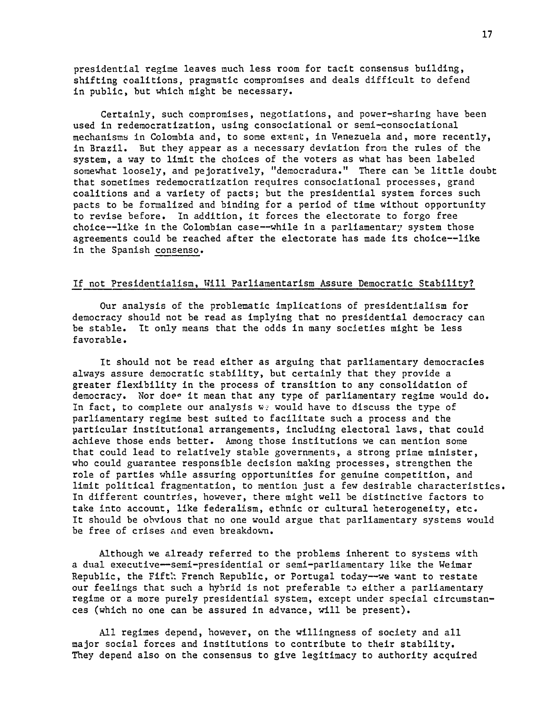presidential regime leaves much less room for tacit consensus building, shifting coalitions, pragmatic compromises and deals difficult to defend in public, but which might be necessary.

Certainly, such compromises, negotiations, and power-sharing have been used in redemocratization, using consociational or semi-consociational mechanisms in Colombia and, to some extent, in Venezuela and, more recently, in Brazil. But they appear as a necessary deviation from the rules of the system, a way to limit the choices of the voters as what has been labeled somewhat loosely, and pejoratively, "democradura." There can be little doubt that sometimes redemocratization requires consociational processes, grand coalitions and a variety of pacts; but the presidential system forces such pacts to be formalized and binding for a period of time without opportunity to revise before. In addition, it forces the electorate to forgo free choice--like in the Colombian case--while in a parliamentary system those agreements could be reached after the electorate has made its choice--like in the Spanish consenso.

#### If not Presidentialism, Will Parliamentarism Assure Democratic Stability?

Our analysis of the problematic implications of presidentialism for democracy should not be read as implying that no presidential democracy can be stable. It only means that the odds in many societies might be less favorable.

It should not be read either as arguing that parliamentary democracies always assure democratic stability, but certainly that they provide a greater flexibility in the process of transition to any consolidation of democracy. Nor does it mean that any type of parliamentary regime would do. In fact, to complete our analysis  $w_{\ell}$  would have to discuss the type of parliamentary regime best suited to facilitate such a process and the particular institutional arrangements, including electoral laws, that could achieve those ends better. Among those institutions we can mention some that could lead to relatively stable governments, a strong prime minister, who could guarantee responsible decision making processes, strengthen the role of parties while assuring opportunities for genuine competition, and limit political fragmentation, to mention just a few desirable characteristics. In different countries, however, there might well be distinctive factors to take into account, like federalism, ethnic or cultural heterogeneity, etc. It should be obvious that no one would argue that parliamentary systems would be free of crises and even breakdown.

Although we already referred to the problems inherent to systems with a dual executive-semi-presidential or semi-parliamentary like the Weimar Republic, the Fifth French Republic, or Portugal today-we want to restate our feelings that such a hybrid is not preferable to either a parliamentary regime or a more purely presidential system, except under special circumstances (which no one can be assured in advance, will be present).

All regimes depend, however, on the willingness of society and all major social forces and institutions to contribute to their stability. They depend also on the consensus to give legitimacy to authority acquired